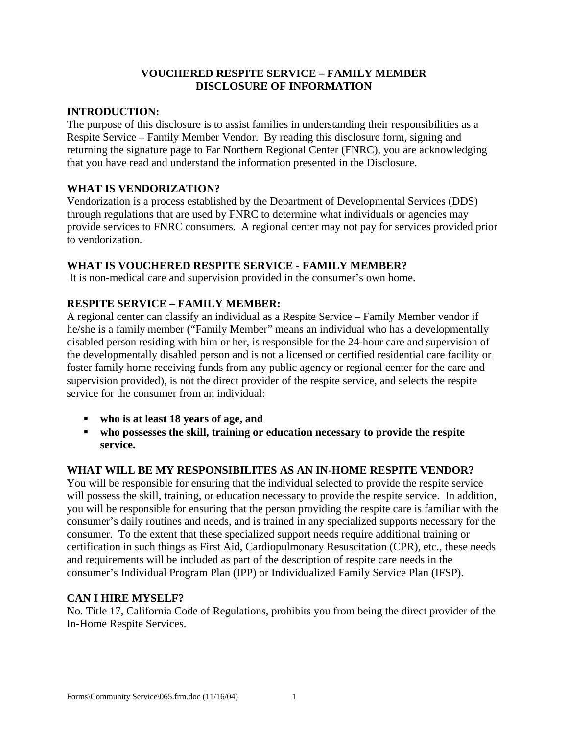### **VOUCHERED RESPITE SERVICE – FAMILY MEMBER DISCLOSURE OF INFORMATION**

#### **INTRODUCTION:**

The purpose of this disclosure is to assist families in understanding their responsibilities as a Respite Service – Family Member Vendor. By reading this disclosure form, signing and returning the signature page to Far Northern Regional Center (FNRC), you are acknowledging that you have read and understand the information presented in the Disclosure.

#### **WHAT IS VENDORIZATION?**

Vendorization is a process established by the Department of Developmental Services (DDS) through regulations that are used by FNRC to determine what individuals or agencies may provide services to FNRC consumers. A regional center may not pay for services provided prior to vendorization.

#### **WHAT IS VOUCHERED RESPITE SERVICE - FAMILY MEMBER?**

It is non-medical care and supervision provided in the consumer's own home.

## **RESPITE SERVICE – FAMILY MEMBER:**

A regional center can classify an individual as a Respite Service – Family Member vendor if he/she is a family member ("Family Member" means an individual who has a developmentally disabled person residing with him or her, is responsible for the 24-hour care and supervision of the developmentally disabled person and is not a licensed or certified residential care facility or foster family home receiving funds from any public agency or regional center for the care and supervision provided), is not the direct provider of the respite service, and selects the respite service for the consumer from an individual:

- ß **who is at least 18 years of age, and**
- $\bullet$  who possesses the skill, training or education necessary to provide the respite **service.**

## **WHAT WILL BE MY RESPONSIBILITES AS AN IN-HOME RESPITE VENDOR?**

You will be responsible for ensuring that the individual selected to provide the respite service will possess the skill, training, or education necessary to provide the respite service. In addition, you will be responsible for ensuring that the person providing the respite care is familiar with the consumer's daily routines and needs, and is trained in any specialized supports necessary for the consumer. To the extent that these specialized support needs require additional training or certification in such things as First Aid, Cardiopulmonary Resuscitation (CPR), etc., these needs and requirements will be included as part of the description of respite care needs in the consumer's Individual Program Plan (IPP) or Individualized Family Service Plan (IFSP).

#### **CAN I HIRE MYSELF?**

No. Title 17, California Code of Regulations, prohibits you from being the direct provider of the In-Home Respite Services.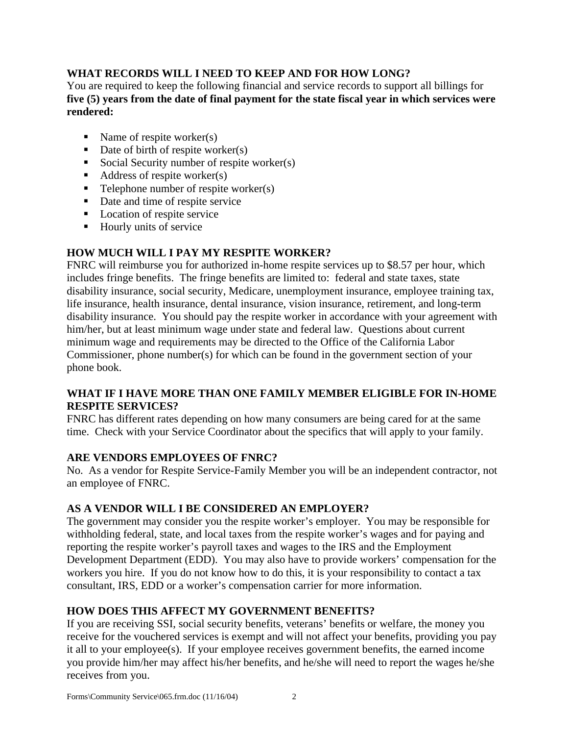# **WHAT RECORDS WILL I NEED TO KEEP AND FOR HOW LONG?**

You are required to keep the following financial and service records to support all billings for **five (5) years from the date of final payment for the state fiscal year in which services were rendered:** 

- Name of respite worker(s)
- Date of birth of respite worker(s)
- Social Security number of respite worker(s)
- $\blacksquare$  Address of respite worker(s)
- $\blacksquare$  Telephone number of respite worker(s)
- Date and time of respite service
- **Location of respite service**
- $\blacksquare$  Hourly units of service

# **HOW MUCH WILL I PAY MY RESPITE WORKER?**

FNRC will reimburse you for authorized in-home respite services up to \$8.57 per hour, which includes fringe benefits. The fringe benefits are limited to: federal and state taxes, state disability insurance, social security, Medicare, unemployment insurance, employee training tax, life insurance, health insurance, dental insurance, vision insurance, retirement, and long-term disability insurance. You should pay the respite worker in accordance with your agreement with him/her, but at least minimum wage under state and federal law. Questions about current minimum wage and requirements may be directed to the Office of the California Labor Commissioner, phone number(s) for which can be found in the government section of your phone book.

## **WHAT IF I HAVE MORE THAN ONE FAMILY MEMBER ELIGIBLE FOR IN-HOME RESPITE SERVICES?**

FNRC has different rates depending on how many consumers are being cared for at the same time. Check with your Service Coordinator about the specifics that will apply to your family.

## **ARE VENDORS EMPLOYEES OF FNRC?**

No. As a vendor for Respite Service-Family Member you will be an independent contractor, not an employee of FNRC.

## **AS A VENDOR WILL I BE CONSIDERED AN EMPLOYER?**

The government may consider you the respite worker's employer. You may be responsible for withholding federal, state, and local taxes from the respite worker's wages and for paying and reporting the respite worker's payroll taxes and wages to the IRS and the Employment Development Department (EDD). You may also have to provide workers' compensation for the workers you hire. If you do not know how to do this, it is your responsibility to contact a tax consultant, IRS, EDD or a worker's compensation carrier for more information.

# **HOW DOES THIS AFFECT MY GOVERNMENT BENEFITS?**

If you are receiving SSI, social security benefits, veterans' benefits or welfare, the money you receive for the vouchered services is exempt and will not affect your benefits, providing you pay it all to your employee(s). If your employee receives government benefits, the earned income you provide him/her may affect his/her benefits, and he/she will need to report the wages he/she receives from you.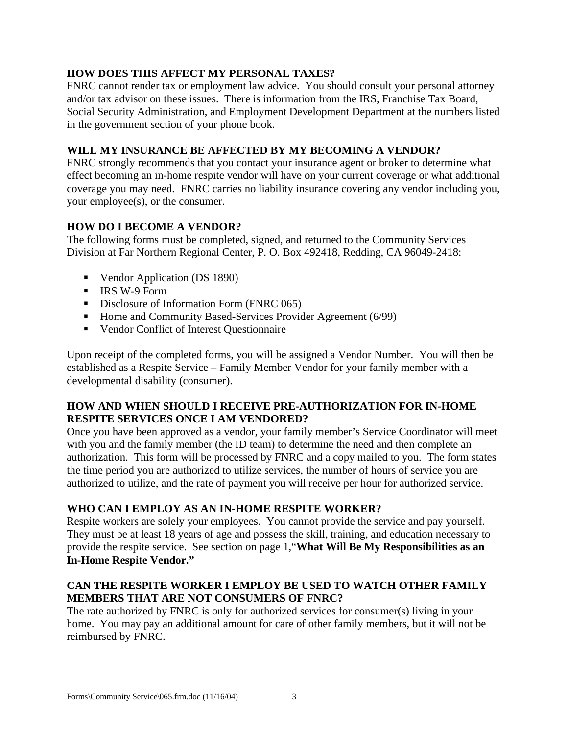## **HOW DOES THIS AFFECT MY PERSONAL TAXES?**

FNRC cannot render tax or employment law advice. You should consult your personal attorney and/or tax advisor on these issues. There is information from the IRS, Franchise Tax Board, Social Security Administration, and Employment Development Department at the numbers listed in the government section of your phone book.

## **WILL MY INSURANCE BE AFFECTED BY MY BECOMING A VENDOR?**

FNRC strongly recommends that you contact your insurance agent or broker to determine what effect becoming an in-home respite vendor will have on your current coverage or what additional coverage you may need. FNRC carries no liability insurance covering any vendor including you, your employee(s), or the consumer.

# **HOW DO I BECOME A VENDOR?**

The following forms must be completed, signed, and returned to the Community Services Division at Far Northern Regional Center, P. O. Box 492418, Redding, CA 96049-2418:

- Vendor Application (DS 1890)
- IRS W-9 Form
- **•** Disclosure of Information Form (FNRC 065)
- Home and Community Based-Services Provider Agreement (6/99)
- **•** Vendor Conflict of Interest Questionnaire

Upon receipt of the completed forms, you will be assigned a Vendor Number. You will then be established as a Respite Service – Family Member Vendor for your family member with a developmental disability (consumer).

## **HOW AND WHEN SHOULD I RECEIVE PRE-AUTHORIZATION FOR IN-HOME RESPITE SERVICES ONCE I AM VENDORED?**

Once you have been approved as a vendor, your family member's Service Coordinator will meet with you and the family member (the ID team) to determine the need and then complete an authorization. This form will be processed by FNRC and a copy mailed to you. The form states the time period you are authorized to utilize services, the number of hours of service you are authorized to utilize, and the rate of payment you will receive per hour for authorized service.

## **WHO CAN I EMPLOY AS AN IN-HOME RESPITE WORKER?**

Respite workers are solely your employees. You cannot provide the service and pay yourself. They must be at least 18 years of age and possess the skill, training, and education necessary to provide the respite service. See section on page 1,"**What Will Be My Responsibilities as an In-Home Respite Vendor."** 

## **CAN THE RESPITE WORKER I EMPLOY BE USED TO WATCH OTHER FAMILY MEMBERS THAT ARE NOT CONSUMERS OF FNRC?**

The rate authorized by FNRC is only for authorized services for consumer(s) living in your home. You may pay an additional amount for care of other family members, but it will not be reimbursed by FNRC.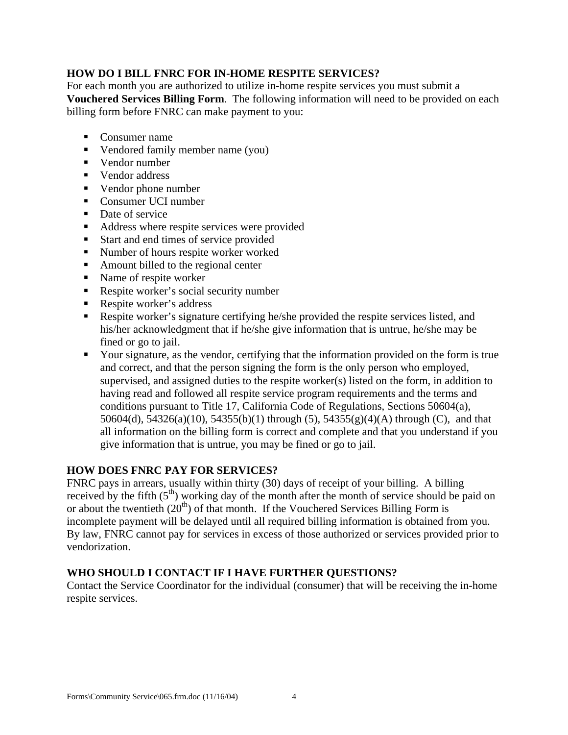## **HOW DO I BILL FNRC FOR IN-HOME RESPITE SERVICES?**

For each month you are authorized to utilize in-home respite services you must submit a **Vouchered Services Billing Form**. The following information will need to be provided on each billing form before FNRC can make payment to you:

- Consumer name
- Vendored family member name (you)
- Vendor number
- Vendor address
- $\blacksquare$  Vendor phone number
- Consumer UCI number
- $\blacksquare$  Date of service
- Address where respite services were provided
- Start and end times of service provided
- Number of hours respite worker worked
- Amount billed to the regional center
- $\blacksquare$  Name of respite worker
- Respite worker's social security number
- Respite worker's address
- Respite worker's signature certifying he/she provided the respite services listed, and his/her acknowledgment that if he/she give information that is untrue, he/she may be fined or go to jail.
- Your signature, as the vendor, certifying that the information provided on the form is true and correct, and that the person signing the form is the only person who employed, supervised, and assigned duties to the respite worker(s) listed on the form, in addition to having read and followed all respite service program requirements and the terms and conditions pursuant to Title 17, California Code of Regulations, Sections 50604(a), 50604(d), 54326(a)(10), 54355(b)(1) through (5), 54355(g)(4)(A) through (C), and that all information on the billing form is correct and complete and that you understand if you give information that is untrue, you may be fined or go to jail.

## **HOW DOES FNRC PAY FOR SERVICES?**

FNRC pays in arrears, usually within thirty (30) days of receipt of your billing. A billing received by the fifth  $(5<sup>th</sup>)$  working day of the month after the month of service should be paid on or about the twentieth  $(20<sup>th</sup>)$  of that month. If the Vouchered Services Billing Form is incomplete payment will be delayed until all required billing information is obtained from you. By law, FNRC cannot pay for services in excess of those authorized or services provided prior to vendorization.

## **WHO SHOULD I CONTACT IF I HAVE FURTHER QUESTIONS?**

Contact the Service Coordinator for the individual (consumer) that will be receiving the in-home respite services.